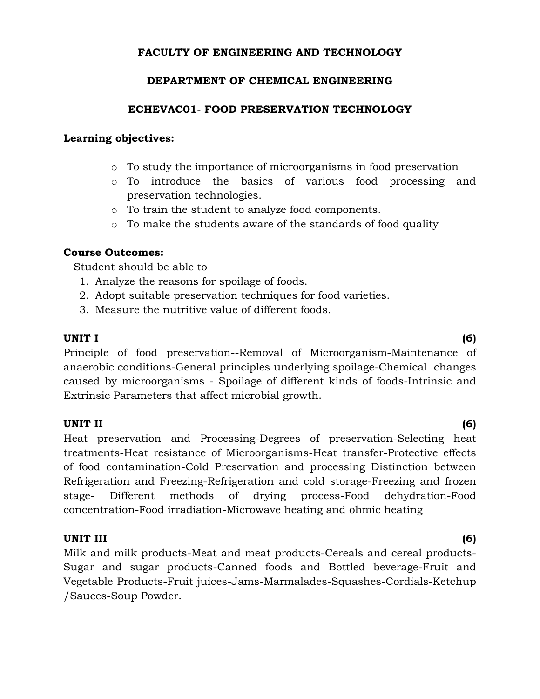# **FACULTY OF ENGINEERING AND TECHNOLOGY**

## **DEPARTMENT OF CHEMICAL ENGINEERING**

## **ECHEVAC01- FOOD PRESERVATION TECHNOLOGY**

## **Learning objectives:**

- o To study the importance of microorganisms in food preservation
- o To introduce the basics of various food processing and preservation technologies.
- o To train the student to analyze food components.
- o To make the students aware of the standards of food quality

## **Course Outcomes:**

Student should be able to

- 1. Analyze the reasons for spoilage of foods.
- 2. Adopt suitable preservation techniques for food varieties.
- 3. Measure the nutritive value of different foods.

### **UNIT I (6)**

Principle of food preservation--Removal of Microorganism-Maintenance of anaerobic conditions-General principles underlying spoilage-Chemical changes caused by microorganisms - Spoilage of different kinds of foods-Intrinsic and Extrinsic Parameters that affect microbial growth.

### **UNIT II (6)**

Heat preservation and Processing-Degrees of preservation-Selecting heat treatments-Heat resistance of Microorganisms-Heat transfer-Protective effects of food contamination-Cold Preservation and processing Distinction between Refrigeration and Freezing-Refrigeration and cold storage-Freezing and frozen stage- Different methods of drying process-Food dehydration-Food concentration-Food irradiation-Microwave heating and ohmic heating

### **UNIT III (6)**

Milk and milk products-Meat and meat products-Cereals and cereal products-Sugar and sugar products-Canned foods and Bottled beverage-Fruit and Vegetable Products-Fruit juices-Jams-Marmalades-Squashes-Cordials-Ketchup /Sauces-Soup Powder.